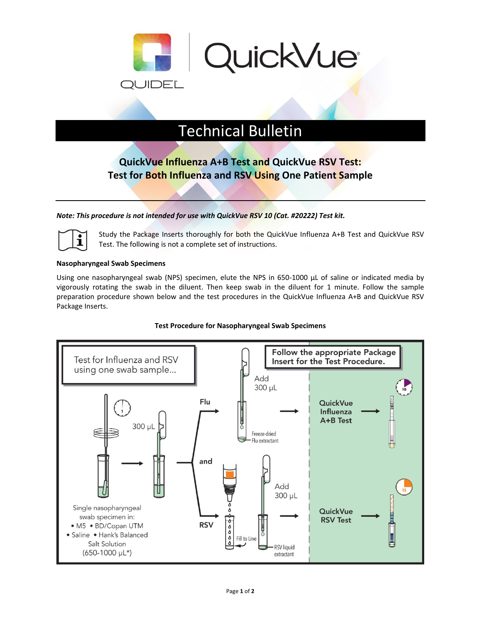

# Technical Bulletin

# **QuickVue Influenza A+B Test and QuickVue RSV Test: Test for Both Influenza and RSV Using One Patient Sample**

# *Note: This procedure is not intended for use with QuickVue RSV 10 (Cat. #20222) Test kit.*



Study the Package Inserts thoroughly for both the QuickVue Influenza A+B Test and QuickVue RSV Test. The following is not a complete set of instructions.

#### **Nasopharyngeal Swab Specimens**

Using one nasopharyngeal swab (NPS) specimen, elute the NPS in 650-1000 μL of saline or indicated media by vigorously rotating the swab in the diluent. Then keep swab in the diluent for 1 minute. Follow the sample preparation procedure shown below and the test procedures in the QuickVue Influenza A+B and QuickVue RSV Package Inserts.

## **Test Procedure for Nasopharyngeal Swab Specimens**